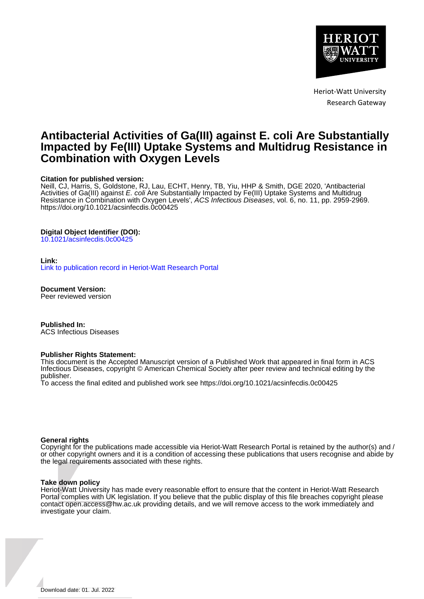

Heriot-Watt University Research Gateway

# **Antibacterial Activities of Ga(III) against E. coli Are Substantially Impacted by Fe(III) Uptake Systems and Multidrug Resistance in Combination with Oxygen Levels**

#### **Citation for published version:**

Neill, CJ, Harris, S, Goldstone, RJ, Lau, ECHT, Henry, TB, Yiu, HHP & Smith, DGE 2020, 'Antibacterial Activities of Ga(III) against E. coli Are Substantially Impacted by Fe(III) Uptake Systems and Multidrug Resistance in Combination with Oxygen Levels', ÁCS Infectious Diseases, vol. 6, no. 11, pp. 2959-2969. <https://doi.org/10.1021/acsinfecdis.0c00425>

#### **Digital Object Identifier (DOI):**

[10.1021/acsinfecdis.0c00425](https://doi.org/10.1021/acsinfecdis.0c00425)

#### **Link:**

[Link to publication record in Heriot-Watt Research Portal](https://researchportal.hw.ac.uk/en/publications/ff0aeb63-983d-41dc-9e76-7243bdd289f1)

**Document Version:** Peer reviewed version

**Published In:** ACS Infectious Diseases

#### **Publisher Rights Statement:**

This document is the Accepted Manuscript version of a Published Work that appeared in final form in ACS Infectious Diseases, copyright © American Chemical Society after peer review and technical editing by the publisher.

To access the final edited and published work see https://doi.org/10.1021/acsinfecdis.0c00425

#### **General rights**

Copyright for the publications made accessible via Heriot-Watt Research Portal is retained by the author(s) and / or other copyright owners and it is a condition of accessing these publications that users recognise and abide by the legal requirements associated with these rights.

#### **Take down policy**

Heriot-Watt University has made every reasonable effort to ensure that the content in Heriot-Watt Research Portal complies with UK legislation. If you believe that the public display of this file breaches copyright please contact open.access@hw.ac.uk providing details, and we will remove access to the work immediately and investigate your claim.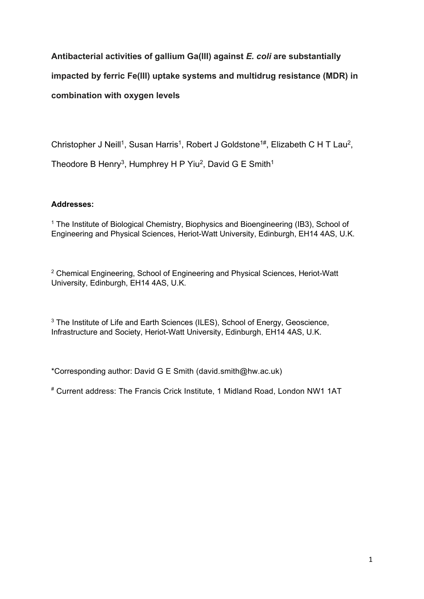# **Antibacterial activities of gallium Ga(III) against** *E. coli* **are substantially impacted by ferric Fe(III) uptake systems and multidrug resistance (MDR) in combination with oxygen levels**

Christopher J Neill<sup>1</sup>, Susan Harris<sup>1</sup>, Robert J Goldstone<sup>1#</sup>, Elizabeth C H T Lau<sup>2</sup>, Theodore B Henry<sup>3</sup>, Humphrey H P Yiu<sup>2</sup>, David G E Smith<sup>1</sup>

# **Addresses:**

<sup>1</sup> The Institute of Biological Chemistry, Biophysics and Bioengineering (IB3), School of Engineering and Physical Sciences, Heriot-Watt University, Edinburgh, EH14 4AS, U.K.

<sup>2</sup> Chemical Engineering, School of Engineering and Physical Sciences, Heriot-Watt University, Edinburgh, EH14 4AS, U.K.

<sup>3</sup> The Institute of Life and Earth Sciences (ILES), School of Energy, Geoscience, Infrastructure and Society, Heriot-Watt University, Edinburgh, EH14 4AS, U.K.

\*Corresponding author: David G E Smith (david.smith@hw.ac.uk)

# Current address: The Francis Crick Institute, 1 Midland Road, London NW1 1AT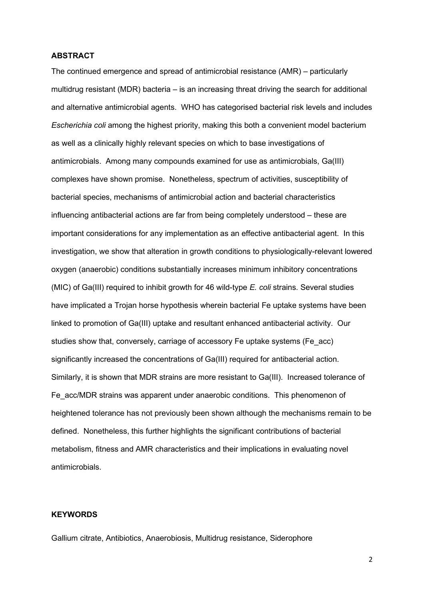#### **ABSTRACT**

The continued emergence and spread of antimicrobial resistance (AMR) – particularly multidrug resistant (MDR) bacteria – is an increasing threat driving the search for additional and alternative antimicrobial agents. WHO has categorised bacterial risk levels and includes *Escherichia coli* among the highest priority, making this both a convenient model bacterium as well as a clinically highly relevant species on which to base investigations of antimicrobials. Among many compounds examined for use as antimicrobials, Ga(III) complexes have shown promise. Nonetheless, spectrum of activities, susceptibility of bacterial species, mechanisms of antimicrobial action and bacterial characteristics influencing antibacterial actions are far from being completely understood – these are important considerations for any implementation as an effective antibacterial agent. In this investigation, we show that alteration in growth conditions to physiologically-relevant lowered oxygen (anaerobic) conditions substantially increases minimum inhibitory concentrations (MIC) of Ga(III) required to inhibit growth for 46 wild-type *E. coli* strains. Several studies have implicated a Trojan horse hypothesis wherein bacterial Fe uptake systems have been linked to promotion of Ga(III) uptake and resultant enhanced antibacterial activity. Our studies show that, conversely, carriage of accessory Fe uptake systems (Fe\_acc) significantly increased the concentrations of Ga(III) required for antibacterial action. Similarly, it is shown that MDR strains are more resistant to Ga(III). Increased tolerance of Fe\_acc/MDR strains was apparent under anaerobic conditions. This phenomenon of heightened tolerance has not previously been shown although the mechanisms remain to be defined. Nonetheless, this further highlights the significant contributions of bacterial metabolism, fitness and AMR characteristics and their implications in evaluating novel antimicrobials.

### **KEYWORDS**

Gallium citrate, Antibiotics, Anaerobiosis, Multidrug resistance, Siderophore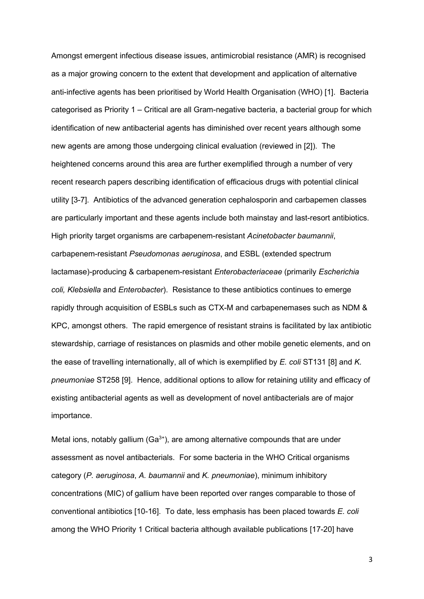Amongst emergent infectious disease issues, antimicrobial resistance (AMR) is recognised as a major growing concern to the extent that development and application of alternative anti-infective agents has been prioritised by World Health Organisation (WHO) [1]. Bacteria categorised as Priority 1 – Critical are all Gram-negative bacteria, a bacterial group for which identification of new antibacterial agents has diminished over recent years although some new agents are among those undergoing clinical evaluation (reviewed in [2]). The heightened concerns around this area are further exemplified through a number of very recent research papers describing identification of efficacious drugs with potential clinical utility [3-7]. Antibiotics of the advanced generation cephalosporin and carbapemen classes are particularly important and these agents include both mainstay and last-resort antibiotics. High priority target organisms are carbapenem-resistant *Acinetobacter baumannii*, carbapenem-resistant *Pseudomonas aeruginosa*, and ESBL (extended spectrum lactamase)-producing & carbapenem-resistant *Enterobacteriaceae* (primarily *Escherichia coli, Klebsiella* and *Enterobacter*). Resistance to these antibiotics continues to emerge rapidly through acquisition of ESBLs such as CTX-M and carbapenemases such as NDM & KPC, amongst others. The rapid emergence of resistant strains is facilitated by lax antibiotic stewardship, carriage of resistances on plasmids and other mobile genetic elements, and on the ease of travelling internationally, all of which is exemplified by *E. coli* ST131 [8] and *K. pneumoniae* ST258 [9]. Hence, additional options to allow for retaining utility and efficacy of existing antibacterial agents as well as development of novel antibacterials are of major importance.

Metal ions, notably gallium  $(Ga<sup>3+</sup>)$ , are among alternative compounds that are under assessment as novel antibacterials. For some bacteria in the WHO Critical organisms category (*P. aeruginosa*, *A. baumannii* and *K. pneumoniae*), minimum inhibitory concentrations (MIC) of gallium have been reported over ranges comparable to those of conventional antibiotics [10-16]. To date, less emphasis has been placed towards *E. coli* among the WHO Priority 1 Critical bacteria although available publications [17-20] have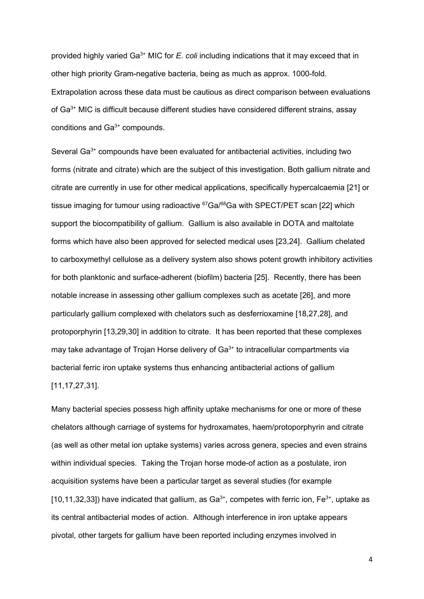provided highly varied Ga<sup>3+</sup> MIC for *E. coli* including indications that it may exceed that in other high priority Gram-negative bacteria, being as much as approx. 1000-fold. Extrapolation across these data must be cautious as direct comparison between evaluations of Ga3+ MIC is difficult because different studies have considered different strains, assay conditions and Ga3+ compounds.

Several Ga<sup>3+</sup> compounds have been evaluated for antibacterial activities, including two forms (nitrate and citrate) which are the subject of this investigation. Both gallium nitrate and citrate are currently in use for other medical applications, specifically hypercalcaemia [21] or tissue imaging for tumour using radioactive  ${}^{67}Ga/{}^{68}Ga$  with SPECT/PET scan [22] which support the biocompatibility of gallium. Gallium is also available in DOTA and maltolate forms which have also been approved for selected medical uses [23,24]. Gallium chelated to carboxymethyl cellulose as a delivery system also shows potent growth inhibitory activities for both planktonic and surface-adherent (biofilm) bacteria [25]. Recently, there has been notable increase in assessing other gallium complexes such as acetate [26], and more particularly gallium complexed with chelators such as desferrioxamine [18,27,28], and protoporphyrin [13,29,30] in addition to citrate. It has been reported that these complexes may take advantage of Trojan Horse delivery of  $Ga^{3+}$  to intracellular compartments via bacterial ferric iron uptake systems thus enhancing antibacterial actions of gallium [11,17,27,31].

Many bacterial species possess high affinity uptake mechanisms for one or more of these chelators although carriage of systems for hydroxamates, haem/protoporphyrin and citrate (as well as other metal ion uptake systems) varies across genera, species and even strains within individual species. Taking the Trojan horse mode-of action as a postulate, iron acquisition systems have been a particular target as several studies (for example [10,11,32,33]) have indicated that gallium, as  $Ga^{3+}$ , competes with ferric ion,  $Fe^{3+}$ , uptake as its central antibacterial modes of action. Although interference in iron uptake appears pivotal, other targets for gallium have been reported including enzymes involved in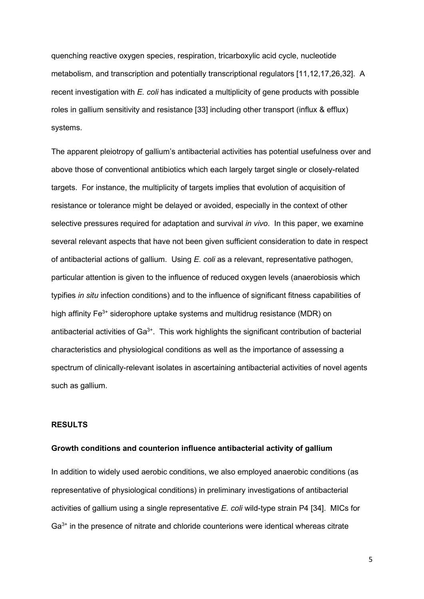quenching reactive oxygen species, respiration, tricarboxylic acid cycle, nucleotide metabolism, and transcription and potentially transcriptional regulators [11,12,17,26,32]. A recent investigation with *E. coli* has indicated a multiplicity of gene products with possible roles in gallium sensitivity and resistance [33] including other transport (influx & efflux) systems.

The apparent pleiotropy of gallium's antibacterial activities has potential usefulness over and above those of conventional antibiotics which each largely target single or closely-related targets. For instance, the multiplicity of targets implies that evolution of acquisition of resistance or tolerance might be delayed or avoided, especially in the context of other selective pressures required for adaptation and survival *in vivo*. In this paper, we examine several relevant aspects that have not been given sufficient consideration to date in respect of antibacterial actions of gallium. Using *E. coli* as a relevant, representative pathogen, particular attention is given to the influence of reduced oxygen levels (anaerobiosis which typifies *in situ* infection conditions) and to the influence of significant fitness capabilities of high affinity  $Fe<sup>3+</sup>$  siderophore uptake systems and multidrug resistance (MDR) on antibacterial activities of  $Ga^{3+}$ . This work highlights the significant contribution of bacterial characteristics and physiological conditions as well as the importance of assessing a spectrum of clinically-relevant isolates in ascertaining antibacterial activities of novel agents such as gallium.

### **RESULTS**

#### **Growth conditions and counterion influence antibacterial activity of gallium**

In addition to widely used aerobic conditions, we also employed anaerobic conditions (as representative of physiological conditions) in preliminary investigations of antibacterial activities of gallium using a single representative *E. coli* wild-type strain P4 [34]. MICs for Ga<sup>3+</sup> in the presence of nitrate and chloride counterions were identical whereas citrate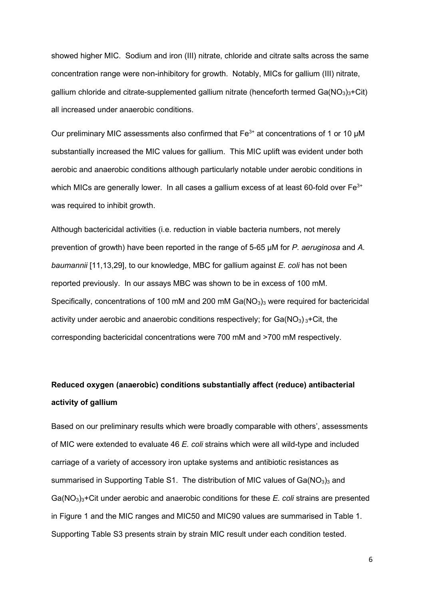showed higher MIC. Sodium and iron (III) nitrate, chloride and citrate salts across the same concentration range were non-inhibitory for growth. Notably, MICs for gallium (III) nitrate, gallium chloride and citrate-supplemented gallium nitrate (henceforth termed  $Ga(NO<sub>3</sub>)<sub>3</sub> + Ci<sub>1</sub>$ ) all increased under anaerobic conditions.

Our preliminary MIC assessments also confirmed that  $Fe<sup>3+</sup>$  at concentrations of 1 or 10  $\mu$ M substantially increased the MIC values for gallium. This MIC uplift was evident under both aerobic and anaerobic conditions although particularly notable under aerobic conditions in which MICs are generally lower. In all cases a gallium excess of at least 60-fold over  $Fe<sup>3+</sup>$ was required to inhibit growth.

Although bactericidal activities (i.e. reduction in viable bacteria numbers, not merely prevention of growth) have been reported in the range of 5-65 µM for *P. aeruginosa* and *A. baumannii* [11,13,29], to our knowledge, MBC for gallium against *E. coli* has not been reported previously. In our assays MBC was shown to be in excess of 100 mM. Specifically, concentrations of 100 mM and 200 mM  $Ga(NO<sub>3</sub>)<sub>3</sub>$  were required for bactericidal activity under aerobic and anaerobic conditions respectively; for  $Ga(NO<sub>3</sub>)<sub>3</sub>+Cit$ , the corresponding bactericidal concentrations were 700 mM and >700 mM respectively.

# **Reduced oxygen (anaerobic) conditions substantially affect (reduce) antibacterial activity of gallium**

Based on our preliminary results which were broadly comparable with others', assessments of MIC were extended to evaluate 46 *E. coli* strains which were all wild-type and included carriage of a variety of accessory iron uptake systems and antibiotic resistances as summarised in Supporting Table S1. The distribution of MIC values of  $Ga(NO<sub>3</sub>)<sub>3</sub>$  and Ga(NO3)3+Cit under aerobic and anaerobic conditions for these *E. coli* strains are presented in Figure 1 and the MIC ranges and MIC50 and MIC90 values are summarised in Table 1. Supporting Table S3 presents strain by strain MIC result under each condition tested.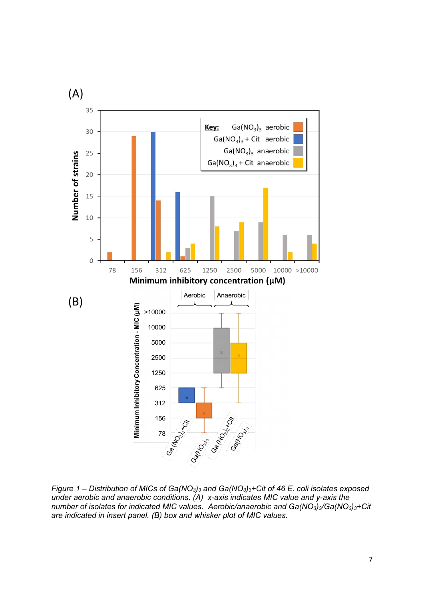

*Figure 1 – Distribution of MICs of Ga(NO3)3 and Ga(NO3)3+Cit of 46 E. coli isolates exposed under aerobic and anaerobic conditions. (A) x-axis indicates MIC value and y-axis the number of isolates for indicated MIC values. Aerobic/anaerobic and Ga(NO3)3/Ga(NO3)3+Cit are indicated in insert panel. (B) box and whisker plot of MIC values.*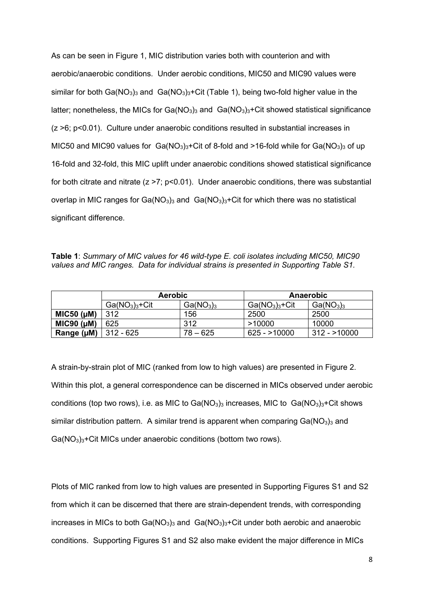As can be seen in Figure 1, MIC distribution varies both with counterion and with aerobic/anaerobic conditions. Under aerobic conditions, MIC50 and MIC90 values were similar for both Ga( $NO<sub>3</sub>$ )<sub>3</sub> and Ga( $NO<sub>3</sub>$ )<sub>3</sub>+Cit (Table 1), being two-fold higher value in the latter; nonetheless, the MICs for Ga( $NO<sub>3</sub>$ )<sub>3</sub> and Ga( $NO<sub>3</sub>$ )<sub>3</sub>+Cit showed statistical significance (z >6; p<0.01). Culture under anaerobic conditions resulted in substantial increases in MIC50 and MIC90 values for  $Ga(NO<sub>3</sub>)<sub>3</sub>+Cit$  of 8-fold and >16-fold while for  $Ga(NO<sub>3</sub>)<sub>3</sub>$  of up 16-fold and 32-fold, this MIC uplift under anaerobic conditions showed statistical significance for both citrate and nitrate  $(z \ge 7; p \le 0.01)$ . Under anaerobic conditions, there was substantial overlap in MIC ranges for Ga( $NO<sub>3</sub>$ )<sub>3</sub> and Ga( $NO<sub>3</sub>$ )<sub>3</sub>+Cit for which there was no statistical significant difference.

**Table 1**: *Summary of MIC values for 46 wild-type E. coli isolates including MIC50, MIC90 values and MIC ranges. Data for individual strains is presented in Supporting Table S1.* 

|                    | <b>Aerobic</b> |                                   | Anaerobic      |                                   |
|--------------------|----------------|-----------------------------------|----------------|-----------------------------------|
|                    | $Ga(NO3)3+Cit$ | Ga(NO <sub>3</sub> ) <sub>3</sub> | $Ga(NO3)3+Cit$ | Ga(NO <sub>3</sub> ) <sub>3</sub> |
| MIC50 (µM)         | 312            | 156                               | 2500           | 2500                              |
| $MIC90$ ( $\mu$ M) | 625            | 312                               | >10000         | 10000                             |
| Range (µM)         | 312 - 625      | 78 – 625                          | $625 - 10000$  | $312 - 10000$                     |

A strain-by-strain plot of MIC (ranked from low to high values) are presented in Figure 2. Within this plot, a general correspondence can be discerned in MICs observed under aerobic conditions (top two rows), i.e. as MIC to  $Ga(NO<sub>3</sub>)<sub>3</sub>$  increases, MIC to  $Ga(NO<sub>3</sub>)<sub>3</sub>$ +Cit shows similar distribution pattern. A similar trend is apparent when comparing  $Ga(NO<sub>3</sub>)<sub>3</sub>$  and Ga(NO3)3+Cit MICs under anaerobic conditions (bottom two rows).

Plots of MIC ranked from low to high values are presented in Supporting Figures S1 and S2 from which it can be discerned that there are strain-dependent trends, with corresponding increases in MICs to both  $Ga(NO<sub>3</sub>)<sub>3</sub>$  and  $Ga(NO<sub>3</sub>)<sub>3</sub>+Cit$  under both aerobic and anaerobic conditions. Supporting Figures S1 and S2 also make evident the major difference in MICs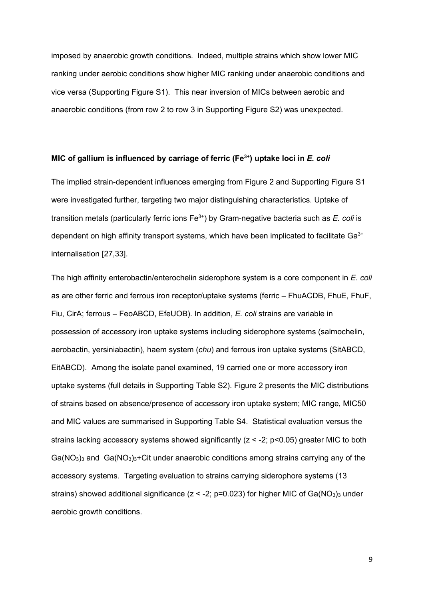imposed by anaerobic growth conditions. Indeed, multiple strains which show lower MIC ranking under aerobic conditions show higher MIC ranking under anaerobic conditions and vice versa (Supporting Figure S1). This near inversion of MICs between aerobic and anaerobic conditions (from row 2 to row 3 in Supporting Figure S2) was unexpected.

#### **MIC of gallium is influenced by carriage of ferric (Fe3+) uptake loci in** *E. coli*

The implied strain-dependent influences emerging from Figure 2 and Supporting Figure S1 were investigated further, targeting two major distinguishing characteristics. Uptake of transition metals (particularly ferric ions Fe<sup>3+</sup>) by Gram-negative bacteria such as *E. coli* is dependent on high affinity transport systems, which have been implicated to facilitate Ga<sup>3+</sup> internalisation [27,33].

The high affinity enterobactin/enterochelin siderophore system is a core component in *E. coli* as are other ferric and ferrous iron receptor/uptake systems (ferric – FhuACDB, FhuE, FhuF, Fiu, CirA; ferrous – FeoABCD, EfeUOB). In addition, *E. coli* strains are variable in possession of accessory iron uptake systems including siderophore systems (salmochelin, aerobactin, yersiniabactin), haem system (*chu*) and ferrous iron uptake systems (SitABCD, EitABCD). Among the isolate panel examined, 19 carried one or more accessory iron uptake systems (full details in Supporting Table S2). Figure 2 presents the MIC distributions of strains based on absence/presence of accessory iron uptake system; MIC range, MIC50 and MIC values are summarised in Supporting Table S4. Statistical evaluation versus the strains lacking accessory systems showed significantly ( $z < -2$ ; p<0.05) greater MIC to both  $Ga(NO<sub>3</sub>)<sub>3</sub>$  and  $Ga(NO<sub>3</sub>)<sub>3</sub>$ +Cit under anaerobic conditions among strains carrying any of the accessory systems. Targeting evaluation to strains carrying siderophore systems (13 strains) showed additional significance ( $z < -2$ ; p=0.023) for higher MIC of Ga( $NO<sub>3</sub>$ )<sub>3</sub> under aerobic growth conditions.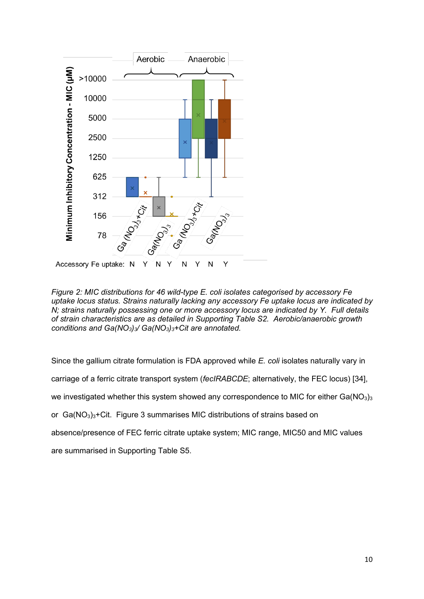

*Figure 2: MIC distributions for 46 wild-type E. coli isolates categorised by accessory Fe uptake locus status. Strains naturally lacking any accessory Fe uptake locus are indicated by N; strains naturally possessing one or more accessory locus are indicated by Y. Full details of strain characteristics are as detailed in Supporting Table S2. Aerobic/anaerobic growth conditions and Ga(NO3)3/ Ga(NO3)3+Cit are annotated.* 

Since the gallium citrate formulation is FDA approved while *E. coli* isolates naturally vary in carriage of a ferric citrate transport system (*fecIRABCDE*; alternatively, the FEC locus) [34], we investigated whether this system showed any correspondence to MIC for either  $Ga(NO<sub>3</sub>)<sub>3</sub>$ or  $Ga(NO<sub>3</sub>)<sub>3</sub> + Cit.$  Figure 3 summarises MIC distributions of strains based on absence/presence of FEC ferric citrate uptake system; MIC range, MIC50 and MIC values are summarised in Supporting Table S5.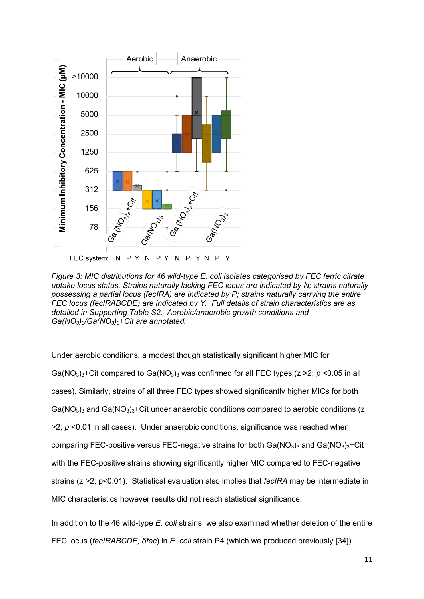

*Figure 3: MIC distributions for 46 wild-type E. coli isolates categorised by FEC ferric citrate uptake locus status. Strains naturally lacking FEC locus are indicated by N; strains naturally possessing a partial locus (fecIRA) are indicated by P; strains naturally carrying the entire FEC locus (fecIRABCDE) are indicated by Y. Full details of strain characteristics are as detailed in Supporting Table S2. Aerobic/anaerobic growth conditions and Ga(NO3)3/Ga(NO3)3+Cit are annotated.* 

Under aerobic conditions, a modest though statistically significant higher MIC for Ga( $NO<sub>3</sub>$ )<sub>3</sub>+Cit compared to Ga( $NO<sub>3</sub>$ )<sub>3</sub> was confirmed for all FEC types ( $z > 2$ ;  $p < 0.05$  in all cases). Similarly, strains of all three FEC types showed significantly higher MICs for both  $Ga(NO<sub>3</sub>)<sub>3</sub>$  and  $Ga(NO<sub>3</sub>)<sub>3</sub>$ +Cit under anaerobic conditions compared to aerobic conditions (z >2; *p* <0.01 in all cases). Under anaerobic conditions, significance was reached when comparing FEC-positive versus FEC-negative strains for both  $Ga(NO<sub>3</sub>)<sub>3</sub>$  and  $Ga(NO<sub>3</sub>)<sub>3</sub>+Cit$ with the FEC-positive strains showing significantly higher MIC compared to FEC-negative strains (z >2; p<0.01). Statistical evaluation also implies that *fecIRA* may be intermediate in MIC characteristics however results did not reach statistical significance.

In addition to the 46 wild-type *E. coli* strains, we also examined whether deletion of the entire FEC locus (*fecIRABCDE; δfec*) in *E. coli* strain P4 (which we produced previously [34])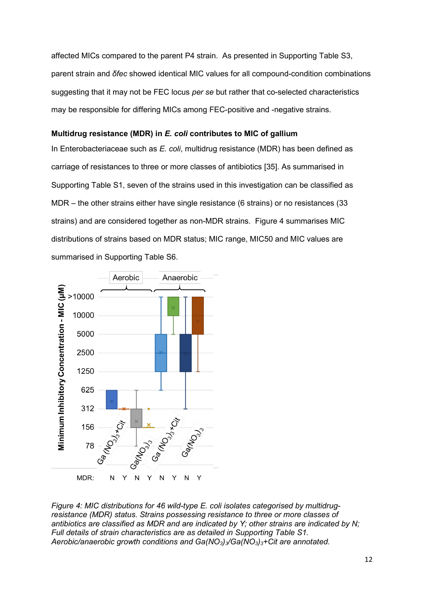affected MICs compared to the parent P4 strain. As presented in Supporting Table S3, parent strain and *δfec* showed identical MIC values for all compound-condition combinations suggesting that it may not be FEC locus *per se* but rather that co-selected characteristics may be responsible for differing MICs among FEC-positive and -negative strains.

### **Multidrug resistance (MDR) in** *E. coli* **contributes to MIC of gallium**

In Enterobacteriaceae such as *E. coli*, multidrug resistance (MDR) has been defined as carriage of resistances to three or more classes of antibiotics [35]. As summarised in Supporting Table S1, seven of the strains used in this investigation can be classified as MDR – the other strains either have single resistance (6 strains) or no resistances (33 strains) and are considered together as non-MDR strains. Figure 4 summarises MIC distributions of strains based on MDR status; MIC range, MIC50 and MIC values are summarised in Supporting Table S6.



*Figure 4: MIC distributions for 46 wild-type E. coli isolates categorised by multidrugresistance (MDR) status. Strains possessing resistance to three or more classes of antibiotics are classified as MDR and are indicated by Y; other strains are indicated by N; Full details of strain characteristics are as detailed in Supporting Table S1. Aerobic/anaerobic growth conditions and Ga(NO3)3/Ga(NO3)3+Cit are annotated.*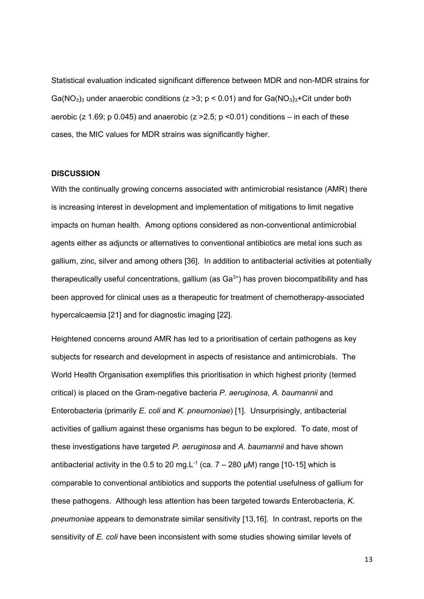Statistical evaluation indicated significant difference between MDR and non-MDR strains for Ga( $NO<sub>3</sub>$ )<sub>3</sub> under anaerobic conditions ( $z > 3$ ;  $p < 0.01$ ) and for Ga( $NO<sub>3</sub>$ )<sub>3</sub>+Cit under both aerobic (z 1.69; p 0.045) and anaerobic (z  $>2.5$ ; p <0.01) conditions – in each of these cases, the MIC values for MDR strains was significantly higher.

#### **DISCUSSION**

With the continually growing concerns associated with antimicrobial resistance (AMR) there is increasing interest in development and implementation of mitigations to limit negative impacts on human health. Among options considered as non-conventional antimicrobial agents either as adjuncts or alternatives to conventional antibiotics are metal ions such as gallium, zinc, silver and among others [36]. In addition to antibacterial activities at potentially therapeutically useful concentrations, gallium (as  $Ga^{3+}$ ) has proven biocompatibility and has been approved for clinical uses as a therapeutic for treatment of chemotherapy-associated hypercalcaemia [21] and for diagnostic imaging [22].

Heightened concerns around AMR has led to a prioritisation of certain pathogens as key subjects for research and development in aspects of resistance and antimicrobials. The World Health Organisation exemplifies this prioritisation in which highest priority (termed critical) is placed on the Gram-negative bacteria *P. aeruginosa*, *A. baumannii* and Enterobacteria (primarily *E. coli* and *K. pneumoniae*) [1]. Unsurprisingly, antibacterial activities of gallium against these organisms has begun to be explored. To date, most of these investigations have targeted *P. aeruginosa* and *A. baumannii* and have shown antibacterial activity in the 0.5 to 20 mg.  $L^{-1}$  (ca.  $7 - 280$  µM) range [10-15] which is comparable to conventional antibiotics and supports the potential usefulness of gallium for these pathogens. Although less attention has been targeted towards Enterobacteria, *K. pneumoniae* appears to demonstrate similar sensitivity [13,16]. In contrast, reports on the sensitivity of *E. coli* have been inconsistent with some studies showing similar levels of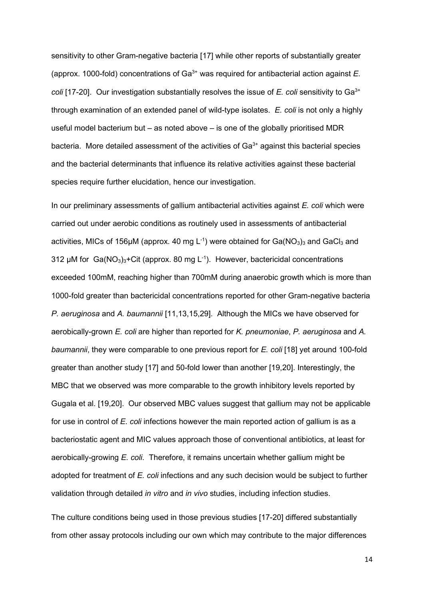sensitivity to other Gram-negative bacteria [17] while other reports of substantially greater (approx. 1000-fold) concentrations of Ga3+ was required for antibacterial action against *E. coli* [17-20]. Our investigation substantially resolves the issue of *E. coli* sensitivity to Ga<sup>3+</sup> through examination of an extended panel of wild-type isolates. *E. coli* is not only a highly useful model bacterium but – as noted above – is one of the globally prioritised MDR bacteria. More detailed assessment of the activities of  $Ga^{3+}$  against this bacterial species and the bacterial determinants that influence its relative activities against these bacterial species require further elucidation, hence our investigation.

In our preliminary assessments of gallium antibacterial activities against *E. coli* which were carried out under aerobic conditions as routinely used in assessments of antibacterial activities, MICs of 156µM (approx. 40 mg L<sup>-1</sup>) were obtained for  $Ga(NO<sub>3</sub>)<sub>3</sub>$  and  $GaCl<sub>3</sub>$  and 312  $\mu$ M for Ga(NO<sub>3</sub>)<sub>3</sub>+Cit (approx. 80 mg L<sup>-1</sup>). However, bactericidal concentrations exceeded 100mM, reaching higher than 700mM during anaerobic growth which is more than 1000-fold greater than bactericidal concentrations reported for other Gram-negative bacteria *P. aeruginosa* and *A. baumannii* [11,13,15,29]. Although the MICs we have observed for aerobically-grown *E. coli* are higher than reported for *K. pneumoniae*, *P. aeruginosa* and *A. baumannii*, they were comparable to one previous report for *E. coli* [18] yet around 100-fold greater than another study [17] and 50-fold lower than another [19,20]. Interestingly, the MBC that we observed was more comparable to the growth inhibitory levels reported by Gugala et al. [19,20]. Our observed MBC values suggest that gallium may not be applicable for use in control of *E. coli* infections however the main reported action of gallium is as a bacteriostatic agent and MIC values approach those of conventional antibiotics, at least for aerobically-growing *E. coli*. Therefore, it remains uncertain whether gallium might be adopted for treatment of *E. coli* infections and any such decision would be subject to further validation through detailed *in vitro* and *in vivo* studies, including infection studies.

The culture conditions being used in those previous studies [17-20] differed substantially from other assay protocols including our own which may contribute to the major differences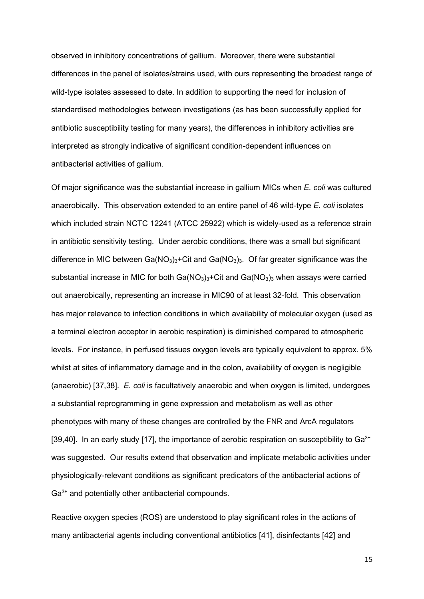observed in inhibitory concentrations of gallium. Moreover, there were substantial differences in the panel of isolates/strains used, with ours representing the broadest range of wild-type isolates assessed to date. In addition to supporting the need for inclusion of standardised methodologies between investigations (as has been successfully applied for antibiotic susceptibility testing for many years), the differences in inhibitory activities are interpreted as strongly indicative of significant condition-dependent influences on antibacterial activities of gallium.

Of major significance was the substantial increase in gallium MICs when *E. coli* was cultured anaerobically. This observation extended to an entire panel of 46 wild-type *E. coli* isolates which included strain NCTC 12241 (ATCC 25922) which is widely-used as a reference strain in antibiotic sensitivity testing. Under aerobic conditions, there was a small but significant difference in MIC between Ga( $NO<sub>3</sub>$ )<sub>3</sub>+Cit and Ga( $NO<sub>3</sub>$ )<sub>3</sub>. Of far greater significance was the substantial increase in MIC for both  $Ga(NO<sub>3</sub>)<sub>3</sub>+C$ it and  $Ga(NO<sub>3</sub>)<sub>3</sub>$  when assays were carried out anaerobically, representing an increase in MIC90 of at least 32-fold. This observation has major relevance to infection conditions in which availability of molecular oxygen (used as a terminal electron acceptor in aerobic respiration) is diminished compared to atmospheric levels. For instance, in perfused tissues oxygen levels are typically equivalent to approx. 5% whilst at sites of inflammatory damage and in the colon, availability of oxygen is negligible (anaerobic) [37,38]. *E. coli* is facultatively anaerobic and when oxygen is limited, undergoes a substantial reprogramming in gene expression and metabolism as well as other phenotypes with many of these changes are controlled by the FNR and ArcA regulators [39,40]. In an early study [17], the importance of aerobic respiration on susceptibility to  $Ga^{3+}$ was suggested. Our results extend that observation and implicate metabolic activities under physiologically-relevant conditions as significant predicators of the antibacterial actions of Ga<sup>3+</sup> and potentially other antibacterial compounds.

Reactive oxygen species (ROS) are understood to play significant roles in the actions of many antibacterial agents including conventional antibiotics [41], disinfectants [42] and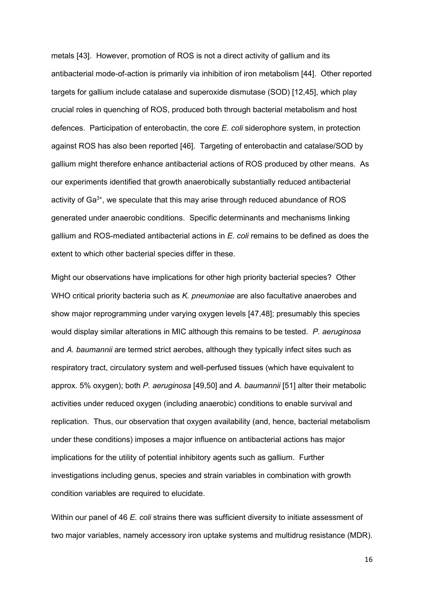metals [43]. However, promotion of ROS is not a direct activity of gallium and its antibacterial mode-of-action is primarily via inhibition of iron metabolism [44]. Other reported targets for gallium include catalase and superoxide dismutase (SOD) [12,45], which play crucial roles in quenching of ROS, produced both through bacterial metabolism and host defences. Participation of enterobactin, the core *E. coli* siderophore system, in protection against ROS has also been reported [46]. Targeting of enterobactin and catalase/SOD by gallium might therefore enhance antibacterial actions of ROS produced by other means. As our experiments identified that growth anaerobically substantially reduced antibacterial activity of  $Ga^{3+}$ , we speculate that this may arise through reduced abundance of ROS generated under anaerobic conditions. Specific determinants and mechanisms linking gallium and ROS-mediated antibacterial actions in *E. coli* remains to be defined as does the extent to which other bacterial species differ in these.

Might our observations have implications for other high priority bacterial species? Other WHO critical priority bacteria such as *K. pneumoniae* are also facultative anaerobes and show major reprogramming under varying oxygen levels [47,48]; presumably this species would display similar alterations in MIC although this remains to be tested. *P. aeruginosa* and *A. baumannii* are termed strict aerobes, although they typically infect sites such as respiratory tract, circulatory system and well-perfused tissues (which have equivalent to approx. 5% oxygen); both *P. aeruginosa* [49,50] and *A. baumannii* [51] alter their metabolic activities under reduced oxygen (including anaerobic) conditions to enable survival and replication. Thus, our observation that oxygen availability (and, hence, bacterial metabolism under these conditions) imposes a major influence on antibacterial actions has major implications for the utility of potential inhibitory agents such as gallium. Further investigations including genus, species and strain variables in combination with growth condition variables are required to elucidate.

Within our panel of 46 *E. coli* strains there was sufficient diversity to initiate assessment of two major variables, namely accessory iron uptake systems and multidrug resistance (MDR).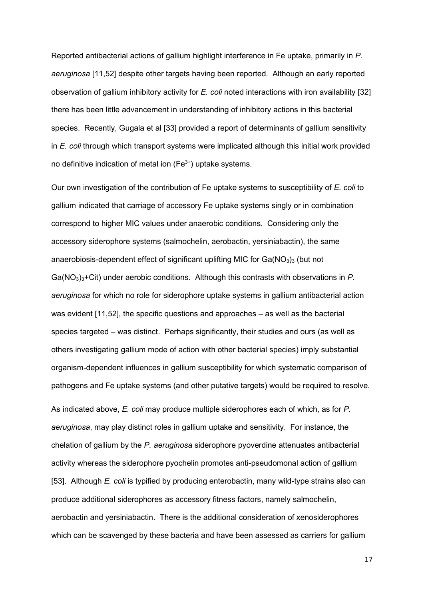Reported antibacterial actions of gallium highlight interference in Fe uptake, primarily in *P. aeruginosa* [11,52] despite other targets having been reported. Although an early reported observation of gallium inhibitory activity for *E. coli* noted interactions with iron availability [32] there has been little advancement in understanding of inhibitory actions in this bacterial species. Recently, Gugala et al [33] provided a report of determinants of gallium sensitivity in *E. coli* through which transport systems were implicated although this initial work provided no definitive indication of metal ion  $(Fe<sup>3+</sup>)$  uptake systems.

Our own investigation of the contribution of Fe uptake systems to susceptibility of *E. coli* to gallium indicated that carriage of accessory Fe uptake systems singly or in combination correspond to higher MIC values under anaerobic conditions. Considering only the accessory siderophore systems (salmochelin, aerobactin, yersiniabactin), the same anaerobiosis-dependent effect of significant uplifting MIC for  $Ga(NO<sub>3</sub>)<sub>3</sub>$  (but not Ga(NO<sub>3</sub>)<sub>3</sub>+Cit) under aerobic conditions. Although this contrasts with observations in *P. aeruginosa* for which no role for siderophore uptake systems in gallium antibacterial action was evident [11,52], the specific questions and approaches – as well as the bacterial species targeted – was distinct. Perhaps significantly, their studies and ours (as well as others investigating gallium mode of action with other bacterial species) imply substantial organism-dependent influences in gallium susceptibility for which systematic comparison of pathogens and Fe uptake systems (and other putative targets) would be required to resolve.

As indicated above, *E. coli* may produce multiple siderophores each of which, as for *P. aeruginosa*, may play distinct roles in gallium uptake and sensitivity. For instance, the chelation of gallium by the *P. aeruginosa* siderophore pyoverdine attenuates antibacterial activity whereas the siderophore pyochelin promotes anti-pseudomonal action of gallium [53]. Although *E. coli* is typified by producing enterobactin, many wild-type strains also can produce additional siderophores as accessory fitness factors, namely salmochelin, aerobactin and yersiniabactin. There is the additional consideration of xenosiderophores which can be scavenged by these bacteria and have been assessed as carriers for gallium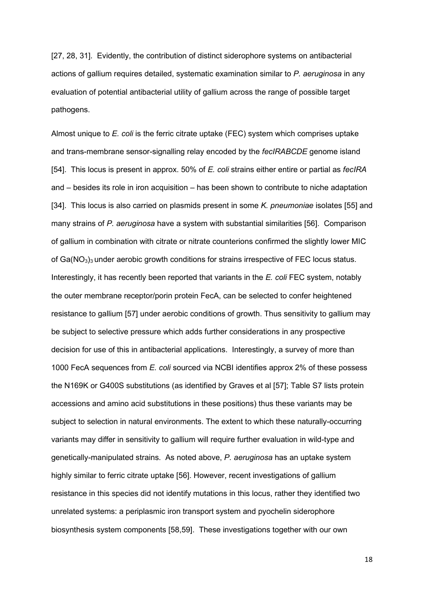[27, 28, 31]. Evidently, the contribution of distinct siderophore systems on antibacterial actions of gallium requires detailed, systematic examination similar to *P. aeruginosa* in any evaluation of potential antibacterial utility of gallium across the range of possible target pathogens.

Almost unique to *E. coli* is the ferric citrate uptake (FEC) system which comprises uptake and trans-membrane sensor-signalling relay encoded by the *fecIRABCDE* genome island [54]. This locus is present in approx. 50% of *E. coli* strains either entire or partial as *fecIRA* and – besides its role in iron acquisition – has been shown to contribute to niche adaptation [34]. This locus is also carried on plasmids present in some *K. pneumoniae* isolates [55] and many strains of *P. aeruginosa* have a system with substantial similarities [56]. Comparison of gallium in combination with citrate or nitrate counterions confirmed the slightly lower MIC of  $Ga(NO<sub>3</sub>)<sub>3</sub>$  under aerobic growth conditions for strains irrespective of FEC locus status. Interestingly, it has recently been reported that variants in the *E. coli* FEC system, notably the outer membrane receptor/porin protein FecA, can be selected to confer heightened resistance to gallium [57] under aerobic conditions of growth. Thus sensitivity to gallium may be subject to selective pressure which adds further considerations in any prospective decision for use of this in antibacterial applications. Interestingly, a survey of more than 1000 FecA sequences from *E. coli* sourced via NCBI identifies approx 2% of these possess the N169K or G400S substitutions (as identified by Graves et al [57]; Table S7 lists protein accessions and amino acid substitutions in these positions) thus these variants may be subject to selection in natural environments. The extent to which these naturally-occurring variants may differ in sensitivity to gallium will require further evaluation in wild-type and genetically-manipulated strains. As noted above, *P. aeruginosa* has an uptake system highly similar to ferric citrate uptake [56]. However, recent investigations of gallium resistance in this species did not identify mutations in this locus, rather they identified two unrelated systems: a periplasmic iron transport system and pyochelin siderophore biosynthesis system components [58,59]. These investigations together with our own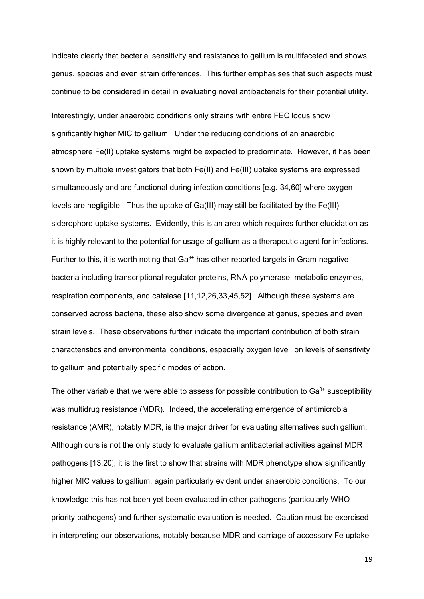indicate clearly that bacterial sensitivity and resistance to gallium is multifaceted and shows genus, species and even strain differences. This further emphasises that such aspects must continue to be considered in detail in evaluating novel antibacterials for their potential utility. Interestingly, under anaerobic conditions only strains with entire FEC locus show significantly higher MIC to gallium. Under the reducing conditions of an anaerobic atmosphere Fe(II) uptake systems might be expected to predominate. However, it has been shown by multiple investigators that both Fe(II) and Fe(III) uptake systems are expressed simultaneously and are functional during infection conditions [e.g. 34,60] where oxygen levels are negligible. Thus the uptake of Ga(III) may still be facilitated by the Fe(III) siderophore uptake systems. Evidently, this is an area which requires further elucidation as it is highly relevant to the potential for usage of gallium as a therapeutic agent for infections. Further to this, it is worth noting that  $Ga^{3+}$  has other reported targets in Gram-negative bacteria including transcriptional regulator proteins, RNA polymerase, metabolic enzymes, respiration components, and catalase [11,12,26,33,45,52]. Although these systems are conserved across bacteria, these also show some divergence at genus, species and even strain levels. These observations further indicate the important contribution of both strain characteristics and environmental conditions, especially oxygen level, on levels of sensitivity to gallium and potentially specific modes of action.

The other variable that we were able to assess for possible contribution to  $Ga^{3+}$  susceptibility was multidrug resistance (MDR). Indeed, the accelerating emergence of antimicrobial resistance (AMR), notably MDR, is the major driver for evaluating alternatives such gallium. Although ours is not the only study to evaluate gallium antibacterial activities against MDR pathogens [13,20], it is the first to show that strains with MDR phenotype show significantly higher MIC values to gallium, again particularly evident under anaerobic conditions. To our knowledge this has not been yet been evaluated in other pathogens (particularly WHO priority pathogens) and further systematic evaluation is needed. Caution must be exercised in interpreting our observations, notably because MDR and carriage of accessory Fe uptake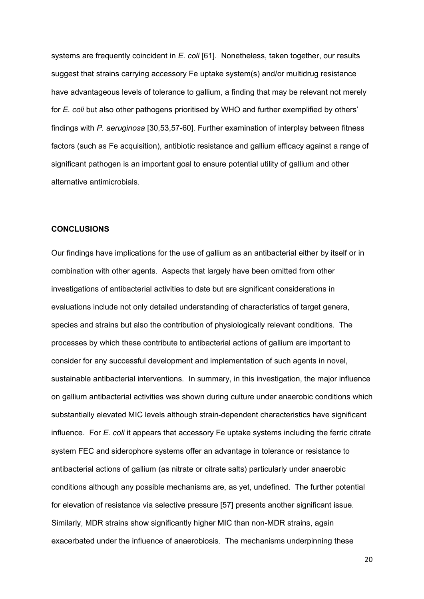systems are frequently coincident in *E. coli* [61]. Nonetheless, taken together, our results suggest that strains carrying accessory Fe uptake system(s) and/or multidrug resistance have advantageous levels of tolerance to gallium, a finding that may be relevant not merely for *E. coli* but also other pathogens prioritised by WHO and further exemplified by others' findings with *P. aeruginosa* [30,53,57-60]. Further examination of interplay between fitness factors (such as Fe acquisition), antibiotic resistance and gallium efficacy against a range of significant pathogen is an important goal to ensure potential utility of gallium and other alternative antimicrobials.

### **CONCLUSIONS**

Our findings have implications for the use of gallium as an antibacterial either by itself or in combination with other agents. Aspects that largely have been omitted from other investigations of antibacterial activities to date but are significant considerations in evaluations include not only detailed understanding of characteristics of target genera, species and strains but also the contribution of physiologically relevant conditions. The processes by which these contribute to antibacterial actions of gallium are important to consider for any successful development and implementation of such agents in novel, sustainable antibacterial interventions. In summary, in this investigation, the major influence on gallium antibacterial activities was shown during culture under anaerobic conditions which substantially elevated MIC levels although strain-dependent characteristics have significant influence. For *E. coli* it appears that accessory Fe uptake systems including the ferric citrate system FEC and siderophore systems offer an advantage in tolerance or resistance to antibacterial actions of gallium (as nitrate or citrate salts) particularly under anaerobic conditions although any possible mechanisms are, as yet, undefined. The further potential for elevation of resistance via selective pressure [57] presents another significant issue. Similarly, MDR strains show significantly higher MIC than non-MDR strains, again exacerbated under the influence of anaerobiosis. The mechanisms underpinning these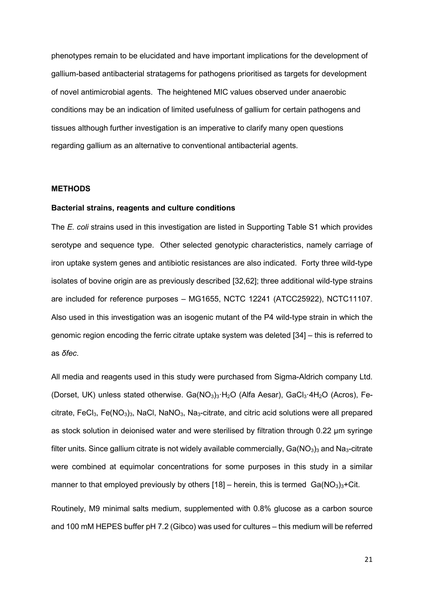phenotypes remain to be elucidated and have important implications for the development of gallium-based antibacterial stratagems for pathogens prioritised as targets for development of novel antimicrobial agents. The heightened MIC values observed under anaerobic conditions may be an indication of limited usefulness of gallium for certain pathogens and tissues although further investigation is an imperative to clarify many open questions regarding gallium as an alternative to conventional antibacterial agents.

#### **METHODS**

#### **Bacterial strains, reagents and culture conditions**

The *E. coli* strains used in this investigation are listed in Supporting Table S1 which provides serotype and sequence type. Other selected genotypic characteristics, namely carriage of iron uptake system genes and antibiotic resistances are also indicated. Forty three wild-type isolates of bovine origin are as previously described [32,62]; three additional wild-type strains are included for reference purposes – MG1655, NCTC 12241 (ATCC25922), NCTC11107. Also used in this investigation was an isogenic mutant of the P4 wild-type strain in which the genomic region encoding the ferric citrate uptake system was deleted [34] – this is referred to as *δfec*.

All media and reagents used in this study were purchased from Sigma-Aldrich company Ltd. (Dorset, UK) unless stated otherwise. Ga(NO<sub>3</sub>)<sub>3</sub>·H<sub>2</sub>O (Alfa Aesar), GaCl<sub>3</sub>·4H<sub>2</sub>O (Acros), Fecitrate, FeCl<sub>3</sub>, Fe(NO<sub>3</sub>)<sub>3</sub>, NaCl, NaNO<sub>3</sub>, Na<sub>3</sub>-citrate, and citric acid solutions were all prepared as stock solution in deionised water and were sterilised by filtration through 0.22 µm syringe filter units. Since gallium citrate is not widely available commercially,  $Ga(NO<sub>3</sub>)<sub>3</sub>$  and Na<sub>3</sub>-citrate were combined at equimolar concentrations for some purposes in this study in a similar manner to that employed previously by others  $[18]$  – herein, this is termed  $Ga(NO<sub>3</sub>)<sub>3</sub>$ +Cit.

Routinely, M9 minimal salts medium, supplemented with 0.8% glucose as a carbon source and 100 mM HEPES buffer pH 7.2 (Gibco) was used for cultures – this medium will be referred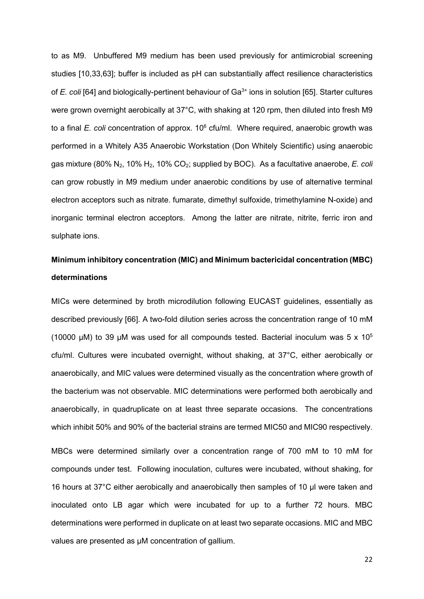to as M9. Unbuffered M9 medium has been used previously for antimicrobial screening studies [10,33,63]; buffer is included as pH can substantially affect resilience characteristics of *E. coli* [64] and biologically-pertinent behaviour of Ga<sup>3+</sup> ions in solution [65]. Starter cultures were grown overnight aerobically at 37°C, with shaking at 120 rpm, then diluted into fresh M9 to a final *E. coli* concentration of approx. 10<sup>6</sup> cfu/ml. Where required, anaerobic growth was performed in a Whitely A35 Anaerobic Workstation (Don Whitely Scientific) using anaerobic gas mixture (80% N2, 10% H2, 10% CO2; supplied by BOC). As a facultative anaerobe, *E. coli* can grow robustly in M9 medium under anaerobic conditions by use of alternative terminal electron acceptors such as nitrate. fumarate, dimethyl sulfoxide, trimethylamine N-oxide) and inorganic terminal electron acceptors. Among the latter are nitrate, nitrite, ferric iron and sulphate ions.

# **Minimum inhibitory concentration (MIC) and Minimum bactericidal concentration (MBC) determinations**

MICs were determined by broth microdilution following EUCAST guidelines, essentially as described previously [66]. A two-fold dilution series across the concentration range of 10 mM (10000 µM) to 39 µM was used for all compounds tested. Bacterial inoculum was 5 x  $10^5$ cfu/ml. Cultures were incubated overnight, without shaking, at 37°C, either aerobically or anaerobically, and MIC values were determined visually as the concentration where growth of the bacterium was not observable. MIC determinations were performed both aerobically and anaerobically, in quadruplicate on at least three separate occasions. The concentrations which inhibit 50% and 90% of the bacterial strains are termed MIC50 and MIC90 respectively.

MBCs were determined similarly over a concentration range of 700 mM to 10 mM for compounds under test. Following inoculation, cultures were incubated, without shaking, for 16 hours at 37°C either aerobically and anaerobically then samples of 10 µl were taken and inoculated onto LB agar which were incubated for up to a further 72 hours. MBC determinations were performed in duplicate on at least two separate occasions. MIC and MBC values are presented as µM concentration of gallium.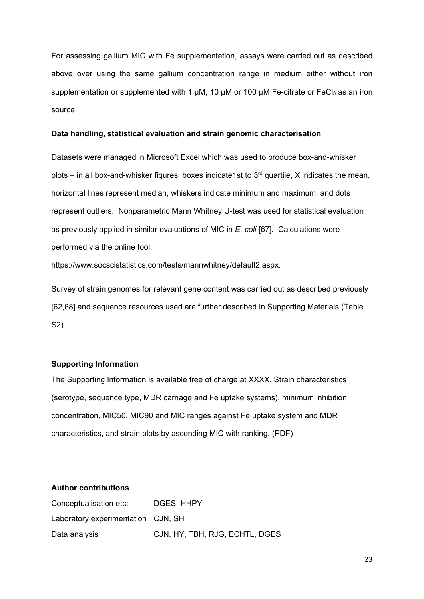For assessing gallium MIC with Fe supplementation, assays were carried out as described above over using the same gallium concentration range in medium either without iron supplementation or supplemented with 1  $\mu$ M, 10  $\mu$ M or 100  $\mu$ M Fe-citrate or FeCl<sub>3</sub> as an iron source.

#### **Data handling, statistical evaluation and strain genomic characterisation**

Datasets were managed in Microsoft Excel which was used to produce box-and-whisker plots – in all box-and-whisker figures, boxes indicate1st to  $3<sup>rd</sup>$  quartile, X indicates the mean, horizontal lines represent median, whiskers indicate minimum and maximum, and dots represent outliers. Nonparametric Mann Whitney U-test was used for statistical evaluation as previously applied in similar evaluations of MIC in *E. coli* [67]. Calculations were performed via the online tool:

https://www.socscistatistics.com/tests/mannwhitney/default2.aspx.

Survey of strain genomes for relevant gene content was carried out as described previously [62,68] and sequence resources used are further described in Supporting Materials (Table S2).

#### **Supporting Information**

The Supporting Information is available free of charge at XXXX. Strain characteristics (serotype, sequence type, MDR carriage and Fe uptake systems), minimum inhibition concentration, MIC50, MIC90 and MIC ranges against Fe uptake system and MDR characteristics, and strain plots by ascending MIC with ranking. (PDF)

### **Author contributions**

| Conceptualisation etc:             | DGES, HHPY                     |
|------------------------------------|--------------------------------|
| Laboratory experimentation CJN, SH |                                |
| Data analysis                      | CJN, HY, TBH, RJG, ECHTL, DGES |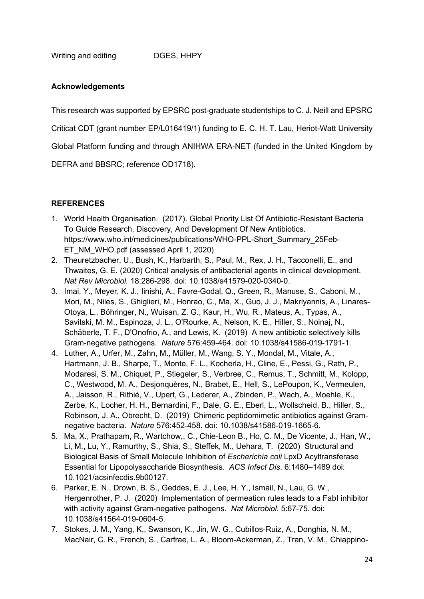Writing and editing DGES, HHPY

# **Acknowledgements**

This research was supported by EPSRC post-graduate studentships to C. J. Neill and EPSRC

Criticat CDT (grant number EP/L016419/1) funding to E. C. H. T. Lau, Heriot-Watt University

Global Platform funding and through ANIHWA ERA-NET (funded in the United Kingdom by

DEFRA and BBSRC; reference OD1718).

# **REFERENCES**

- 1. World Health Organisation. (2017). Global Priority List Of Antibiotic-Resistant Bacteria To Guide Research, Discovery, And Development Of New Antibiotics. [https://www.who.int/medicines/publications/WHO-PPL-Short\\_Summary\\_25Feb-](about:blank)[ET\\_NM\\_WHO.pdf](about:blank) (assessed April 1, 2020)
- 2. Theuretzbacher, U., Bush, K., Harbarth, S., Paul, M., Rex, J. H., Tacconelli, E., and Thwaites, G. E. (2020) Critical analysis of antibacterial agents in clinical development. *Nat Rev Microbiol.* 18:286-298. doi: 10.1038/s41579-020-0340-0.
- 3. Imai, Y., Meyer, K. J., Iinishi, A., Favre-Godal, Q., Green, R., Manuse, S., Caboni, M., Mori, M., Niles, S., Ghiglieri, M., Honrao, C., Ma, X., Guo, J. J., Makriyannis, A., Linares-Otoya, L., Böhringer, N., Wuisan, Z. G., Kaur, H., Wu, R., Mateus, A., Typas, A., Savitski, M. M., Espinoza, J. L., O'Rourke, A., Nelson, K. E., Hiller, S., Noinaj, N., Schäberle, T. F., D'Onofrio, A., and Lewis, K. (2019) A new antibiotic selectively kills Gram-negative pathogens. *Nature* 576:459-464. doi: 10.1038/s41586-019-1791-1.
- 4. Luther, A., Urfer, M., Zahn, M., Müller, M., Wang, S. Y., Mondal, M., Vitale, A., Hartmann, J. B., Sharpe, T., Monte, F. L., Kocherla, H., Cline, E., Pessi, G., Rath, P., Modaresi, S. M., Chiquet, P., Stiegeler, S., Verbree, C., Remus, T., Schmitt, M., Kolopp, C., Westwood, M. A., Desjonquères, N., Brabet, E., Hell, S., LePoupon, K., Vermeulen, A., Jaisson, R., Rithié, V., Upert, G., Lederer, A., Zbinden, P., Wach, A., Moehle, K., Zerbe, K., Locher, H. H., Bernardini, F., Dale, G. E., Eberl, L., Wollscheid, B., Hiller, S., Robinson, J. A., Obrecht, D. (2019) Chimeric peptidomimetic antibiotics against Gramnegative bacteria. *Nature* 576:452-458. doi: 10.1038/s41586-019-1665-6.
- 5. Ma, X., Prathapam, R., Wartchow,, C., Chie-Leon B., Ho, C. M., De Vicente, J., Han, W., Li, M., Lu, Y., Ramurthy, S., Shia, S., Steffek, M., Uehara, T. (2020) Structural and Biological Basis of Small Molecule Inhibition of *Escherichia coli* LpxD Acyltransferase Essential for Lipopolysaccharide Biosynthesis. *ACS Infect Dis*. 6:1480–1489 doi: 10.1021/acsinfecdis.9b00127.
- 6. Parker, E. N., Drown, B. S., Geddes, E. J., Lee, H. Y., Ismail, N., Lau, G. W., Hergenrother, P. J. (2020) Implementation of permeation rules leads to a FabI inhibitor with activity against Gram-negative pathogens. *Nat Microbiol*. 5:67-75. doi: 10.1038/s41564-019-0604-5.
- 7. Stokes, J. M., Yang, K., Swanson, K., Jin, W. G., Cubillos-Ruiz, A., Donghia, N. M., MacNair, C. R., French, S., Carfrae, L. A., Bloom-Ackerman, Z., Tran, V. M., Chiappino-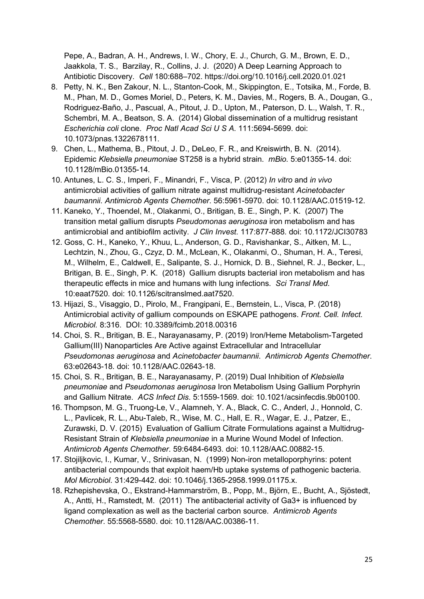Pepe, A., Badran, A. H., Andrews, I. W., Chory, E. J., Church, G. M., Brown, E. D., Jaakkola, T. S., Barzilay, R., Collins, J. J. (2020) A Deep Learning Approach to Antibiotic Discovery. *Cell* 180:688–702. https://doi.org/10.1016/j.cell.2020.01.021

- 8. Petty, N. K., Ben Zakour, N. L., Stanton-Cook, M., Skippington, E., Totsika, M., Forde, B. M., Phan, M. D., Gomes Moriel, D., Peters, K. M., Davies, M., Rogers, B. A., Dougan, G., Rodriguez-Baño, J., Pascual, A., Pitout, J. D., Upton, M., Paterson, D. L., Walsh, T. R., Schembri, M. A., Beatson, S. A. (2014) Global dissemination of a multidrug resistant *Escherichia coli* clone. *Proc Natl Acad Sci U S A*. 111:5694-5699. doi: 10.1073/pnas.1322678111.
- 9. Chen, L., Mathema, B., Pitout, J. D., DeLeo, F. R., and Kreiswirth, B. N. (2014). Epidemic *Klebsiella pneumoniae* ST258 is a hybrid strain. *mBio.* 5:e01355-14. doi: 10.1128/mBio.01355-14.
- 10. Antunes, L. C. S., Imperi, F., Minandri, F., Visca, P. (2012) *In vitro* and *in vivo*  antimicrobial activities of gallium nitrate against multidrug-resistant *Acinetobacter baumannii*. *Antimicrob Agents Chemother*. 56:5961-5970. doi: 10.1128/AAC.01519-12.
- 11. Kaneko, Y., Thoendel, M., Olakanmi, O., Britigan, B. E., Singh, P. K. (2007) The transition metal gallium disrupts *Pseudomonas aeruginosa* iron metabolism and has antimicrobial and antibiofilm activity. *J Clin Invest*. 117:877-888. doi: 10.1172/JCI30783
- 12. Goss, C. H., Kaneko, Y., Khuu, L., Anderson, G. D., Ravishankar, S., Aitken, M. L., Lechtzin, N., Zhou, G., Czyz, D. M., McLean, K., Olakanmi, O., Shuman, H. A., Teresi, M., Wilhelm, E., Caldwell, E., Salipante, S. J., Hornick, D. B., Siehnel, R. J., Becker, L., Britigan, B. E., Singh, P. K. (2018) Gallium disrupts bacterial iron metabolism and has therapeutic effects in mice and humans with lung infections. *Sci Transl Med.* 10:eaat7520. doi: 10.1126/scitranslmed.aat7520.
- 13. Hijazi, S., Visaggio, D., Pirolo, M., Frangipani, E., Bernstein, L., Visca, P. (2018) Antimicrobial activity of gallium compounds on ESKAPE pathogens. *Front. Cell. Infect. Microbiol.* 8:316. DOI: 10.3389/fcimb.2018.00316
- 14. Choi, S. R., Britigan, B. E., Narayanasamy, P. (2019) Iron/Heme Metabolism-Targeted Gallium(III) Nanoparticles Are Active against Extracellular and Intracellular *Pseudomonas aeruginosa* and *Acinetobacter baumannii*. *Antimicrob Agents Chemother*. 63:e02643-18. doi: 10.1128/AAC.02643-18.
- 15. Choi, S. R., Britigan, B. E., Narayanasamy, P. (2019) Dual Inhibition of *Klebsiella pneumoniae* and *Pseudomonas aeruginosa* Iron Metabolism Using Gallium Porphyrin and Gallium Nitrate. *ACS Infect Dis*. 5:1559-1569. doi: 10.1021/acsinfecdis.9b00100.
- 16. Thompson, M. G., Truong-Le, V., Alamneh, Y. A., Black, C. C., Anderl, J., Honnold, C. L., Pavlicek, R. L., Abu-Taleb, R., Wise, M. C., Hall, E. R., Wagar, E. J., Patzer, E., Zurawski, D. V. (2015) Evaluation of Gallium Citrate Formulations against a Multidrug-Resistant Strain of *Klebsiella pneumoniae* in a Murine Wound Model of Infection. *Antimicrob Agents Chemother*. 59:6484-6493. doi: 10.1128/AAC.00882-15.
- 17. Stojiljkovic, I., Kumar, V., Srinivasan, N. (1999) Non-iron metalloporphyrins: potent antibacterial compounds that exploit haem/Hb uptake systems of pathogenic bacteria. *Mol Microbiol*. 31:429-442. doi: 10.1046/j.1365-2958.1999.01175.x.
- 18. Rzhepishevska, O., Ekstrand-Hammarström, B., Popp, M., Björn, E., Bucht, A., Sjöstedt, A., Antti, H., Ramstedt, M. (2011) The antibacterial activity of Ga3+ is influenced by ligand complexation as well as the bacterial carbon source. *Antimicrob Agents Chemother*. 55:5568-5580. doi: 10.1128/AAC.00386-11.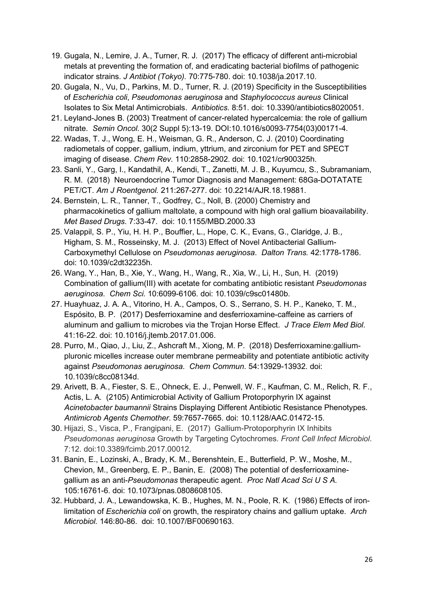- 19. Gugala, N., Lemire, J. A., Turner, R. J. (2017) The efficacy of different anti-microbial metals at preventing the formation of, and eradicating bacterial biofilms of pathogenic indicator strains. *J Antibiot (Tokyo).* 70:775-780. doi: 10.1038/ja.2017.10.
- 20. Gugala, N., Vu, D., Parkins, M. D., Turner, R. J. (2019) Specificity in the Susceptibilities of *Escherichia coli*, *Pseudomonas aeruginosa* and *Staphylococcus aureus* Clinical Isolates to Six Metal Antimicrobials. *Antibiotics*. 8:51. doi: 10.3390/antibiotics8020051.
- 21. Leyland-Jones B. (2003) Treatment of cancer-related hypercalcemia: the role of gallium nitrate. *Semin Oncol*. 30(2 Suppl 5):13-19. DOI:10.1016/s0093-7754(03)00171-4.
- 22. Wadas, T. J., Wong, E. H., Weisman, G. R., Anderson, C. J. (2010) Coordinating radiometals of copper, gallium, indium, yttrium, and zirconium for PET and SPECT imaging of disease. *Chem Rev*. 110:2858-2902. doi: 10.1021/cr900325h.
- 23. Sanli, Y., Garg, I., Kandathil, A., Kendi, T., Zanetti, M. J. B., Kuyumcu, S., Subramaniam, R. M. (2018) Neuroendocrine Tumor Diagnosis and Management: 68Ga-DOTATATE PET/CT. *Am J Roentgenol.* 211:267-277. doi: 10.2214/AJR.18.19881.
- 24. Bernstein, L. R., Tanner, T., Godfrey, C., Noll, B. (2000) Chemistry and pharmacokinetics of gallium maltolate, a compound with high oral gallium bioavailability. *Met Based Drugs.* 7:33-47. doi: 10.1155/MBD.2000.33
- 25. Valappil, S. P., Yiu, H. H. P., Bouffier, L., Hope, C. K., Evans, G., Claridge, J. B., Higham, S. M., Rosseinsky, M. J. (2013) Effect of Novel Antibacterial Gallium-Carboxymethyl Cellulose on *Pseudomonas aeruginosa*. *Dalton Trans.* 42:1778-1786. doi: 10.1039/c2dt32235h.
- 26. Wang, Y., Han, B., Xie, Y., Wang, H., Wang, R., Xia, W., Li, H., Sun, H. (2019) Combination of gallium(III) with acetate for combating antibiotic resistant *Pseudomonas aeruginosa*. *Chem Sci.* 10:6099-6106. doi: 10.1039/c9sc01480b.
- 27. Huayhuaz, J. A. A., Vitorino, H. A., Campos, O. S., Serrano, S. H. P., Kaneko, T. M., Espósito, B. P. (2017) Desferrioxamine and desferrioxamine-caffeine as carriers of aluminum and gallium to microbes via the Trojan Horse Effect. *J Trace Elem Med Biol*. 41:16-22. doi: 10.1016/j.jtemb.2017.01.006.
- 28. Purro, M., Qiao, J., Liu, Z., Ashcraft M., Xiong, M. P. (2018) Desferrioxamine:galliumpluronic micelles increase outer membrane permeability and potentiate antibiotic activity against *Pseudomonas aeruginosa*. *Chem Commun*. 54:13929-13932. doi: 10.1039/c8cc08134d.
- 29. Arivett, B. A., Fiester, S. E., Ohneck, E. J., Penwell, W. F., Kaufman, C. M., Relich, R. F., Actis, L. A. (2105) Antimicrobial Activity of Gallium Protoporphyrin IX against *Acinetobacter baumannii* Strains Displaying Different Antibiotic Resistance Phenotypes. *Antimicrob Agents Chemother*. 59:7657-7665. doi: 10.1128/AAC.01472-15.
- 30. Hijazi, S., Visca, P., Frangipani, E. (2017) Gallium-Protoporphyrin IX Inhibits *Pseudomonas aeruginosa* Growth by Targeting Cytochromes. *Front Cell Infect Microbiol*. 7:12. doi:10.3389/fcimb.2017.00012.
- 31. Banin, E., Lozinski, A., Brady, K. M., Berenshtein, E., Butterfield, P. W., Moshe, M., Chevion, M., Greenberg, E. P., Banin, E. (2008) The potential of desferrioxaminegallium as an anti-*Pseudomonas* therapeutic agent. *Proc Natl Acad Sci U S A.* 105:16761-6. doi: 10.1073/pnas.0808608105.
- 32. Hubbard, J. A., Lewandowska, K. B., Hughes, M. N., Poole, R. K. (1986) Effects of ironlimitation of *Escherichia coli* on growth, the respiratory chains and gallium uptake. *Arch Microbiol.* 146:80-86. doi: 10.1007/BF00690163.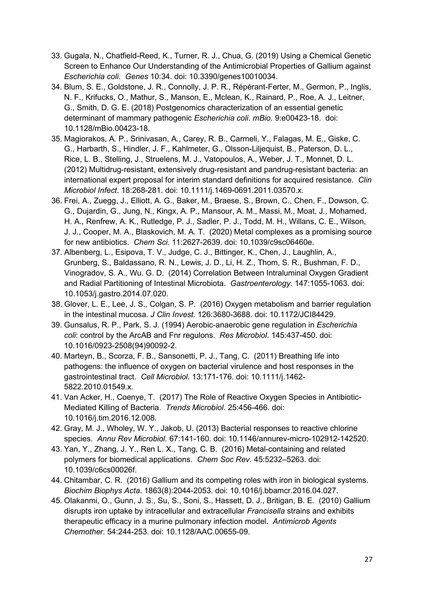- 33. Gugala, N., Chatfield-Reed, K., Turner, R. J., Chua, G. (2019) Using a Chemical Genetic Screen to Enhance Our Understanding of the Antimicrobial Properties of Gallium against *Escherichia coli*. *Genes* 10:34. doi: 10.3390/genes10010034.
- 34. Blum, S. E., Goldstone, J. R., Connolly, J. P. R., Répérant-Ferter, M., Germon, P., Inglis, N. F., Krifucks, O., Mathur, S., Manson, E., Mclean, K., Rainard, P., Roe, A. J., Leitner, G., Smith, D. G. E. (2018) Postgenomics characterization of an essential genetic determinant of mammary pathogenic *Escherichia coli*. *mBio.* 9:e00423-18. doi: 10.1128/mBio.00423-18.
- 35. Magiorakos, A. P., Srinivasan, A., Carey, R. B., Carmeli, Y., Falagas, M. E., Giske, C. G., Harbarth, S., Hindler, J. F., Kahlmeter, G., Olsson-Liljequist, B., Paterson, D. L., Rice, L. B., Stelling, J., Struelens, M. J., Vatopoulos, A., Weber, J. T., Monnet, D. L. (2012) Multidrug-resistant, extensively drug-resistant and pandrug-resistant bacteria: an international expert proposal for interim standard definitions for acquired resistance. *Clin Microbiol Infect.* 18:268-281. doi: 10.1111/j.1469-0691.2011.03570.x.
- 36. Frei, A., Zuegg, J., Elliott, A. G., Baker, M., Braese, S., Brown, C., Chen, F., Dowson, C. G., Dujardin, G., Jung, N., Kingx, A. P., Mansour, A. M., Massi, M., Moat, J., Mohamed, H. A., Renfrew, A. K., Rutledge, P. J., Sadler, P. J., Todd, M. H., Willans, C. E., Wilson, J. J., Cooper, M. A., Blaskovich, M. A. T. (2020) Metal complexes as a promising source for new antibiotics. *Chem Sci.* 11:2627-2639. doi: 10.1039/c9sc06460e.
- 37. Albenberg, L., Esipova, T. V., Judge, C. J., Bittinger, K., Chen, J., Laughlin, A., Grunberg, S., Baldassano, R. N., Lewis, J. D., Li, H. Z., Thom, S. R., Bushman, F. D., Vinogradov, S. A., Wu. G. D. (2014) Correlation Between Intraluminal Oxygen Gradient and Radial Partitioning of Intestinal Microbiota. *Gastroenterology*. 147:1055-1063. doi: 10.1053/j.gastro.2014.07.020.
- 38. Glover, L. E., Lee, J. S., Colgan, S. P. (2016) Oxygen metabolism and barrier regulation in the intestinal mucosa. *J Clin Invest.* 126:3680-3688. doi: 10.1172/JCI84429.
- 39. Gunsalus, R. P., Park, S. J. (1994) Aerobic-anaerobic gene regulation in *Escherichia coli*: control by the ArcAB and Fnr regulons. *Res Microbiol*. 145:437-450. doi: 10.1016/0923-2508(94)90092-2.
- 40. Marteyn, B., Scorza, F. B., Sansonetti, P. J., Tang, C. (2011) Breathing life into pathogens: the influence of oxygen on bacterial virulence and host responses in the gastrointestinal tract. *Cell Microbiol*. 13:171-176. doi: 10.1111/j.1462- 5822.2010.01549.x.
- 41. Van Acker, H., Coenye, T. (2017) The Role of Reactive Oxygen Species in Antibiotic-Mediated Killing of Bacteria. *Trends Microbiol*. 25:456-466. doi: 10.1016/j.tim.2016.12.008.
- 42. Gray, M. J., Wholey, W. Y., Jakob, U. (2013) Bacterial responses to reactive chlorine species. *Annu Rev Microbiol.* 67:141-160. doi: 10.1146/annurev-micro-102912-142520.
- 43. Yan, Y., Zhang, J. Y., Ren L. X., Tang, C. B. (2016) Metal-containing and related polymers for biomedical applications. *Chem Soc Rev*. 45:5232–5263. doi: 10.1039/c6cs00026f.
- 44. Chitambar, C. R. (2016) Gallium and its competing roles with iron in biological systems. *Biochim Biophys Acta*. 1863(8):2044-2053. doi: 10.1016/j.bbamcr.2016.04.027.
- 45. Olakanmi, O., Gunn, J. S., Su, S., Soni, S., Hassett, D. J., Britigan, B. E. (2010) Gallium disrupts iron uptake by intracellular and extracellular *Francisella* strains and exhibits therapeutic efficacy in a murine pulmonary infection model. *Antimicrob Agents Chemother.* 54:244-253. doi: 10.1128/AAC.00655-09.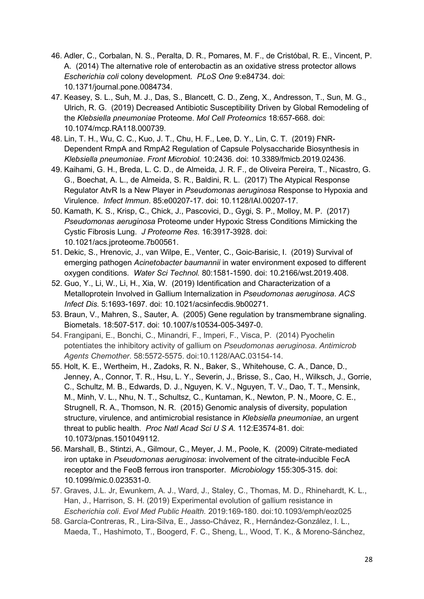- 46. Adler, C., Corbalan, N. S., Peralta, D. R., Pomares, M. F., de Cristóbal, R. E., Vincent, P. A. (2014) The alternative role of enterobactin as an oxidative stress protector allows *Escherichia coli* colony development. *PLoS One* 9:e84734. doi: 10.1371/journal.pone.0084734.
- 47. Keasey, S. L., Suh, M. J., Das, S., Blancett, C. D., Zeng, X., Andresson, T., Sun, M. G., Ulrich, R. G. (2019) Decreased Antibiotic Susceptibility Driven by Global Remodeling of the *Klebsiella pneumoniae* Proteome. *Mol Cell Proteomics* 18:657-668. doi: 10.1074/mcp.RA118.000739.
- 48. Lin, T. H., Wu, C. C., Kuo, J. T., Chu, H. F., Lee, D. Y., Lin, C. T. (2019) FNR-Dependent RmpA and RmpA2 Regulation of Capsule Polysaccharide Biosynthesis in *Klebsiella pneumoniae*. *Front Microbiol.* 10:2436. doi: 10.3389/fmicb.2019.02436.
- 49. Kaihami, G. H., Breda, L. C. D., de Almeida, J. R. F., de Oliveira Pereira, T., Nicastro, G. G., Boechat, A. L., de Almeida, S. R., Baldini, R. L. (2017) The Atypical Response Regulator AtvR Is a New Player in *Pseudomonas aeruginosa* Response to Hypoxia and Virulence. *Infect Immun*. 85:e00207-17. doi: 10.1128/IAI.00207-17.
- 50. Kamath, K. S., Krisp, C., Chick, J., Pascovici, D., Gygi, S. P., Molloy, M. P. (2017) *Pseudomonas aeruginosa* Proteome under Hypoxic Stress Conditions Mimicking the Cystic Fibrosis Lung. *J Proteome Res*. 16:3917-3928. doi: 10.1021/acs.jproteome.7b00561.
- 51. Dekic, S., Hrenovic, J., van Wilpe, E., Venter, C., Goic-Barisic, I. (2019) Survival of emerging pathogen *Acinetobacter baumannii* in water environment exposed to different oxygen conditions. *Water Sci Technol.* 80:1581-1590. doi: 10.2166/wst.2019.408.
- 52. Guo, Y., Li, W., Li, H., Xia, W. (2019) Identification and Characterization of a Metalloprotein Involved in Gallium Internalization in *Pseudomonas aeruginosa*. *ACS Infect Dis.* 5:1693-1697. doi: 10.1021/acsinfecdis.9b00271.
- 53. Braun, V., Mahren, S., Sauter, A. (2005) Gene regulation by transmembrane signaling. Biometals. 18:507-517. doi: 10.1007/s10534-005-3497-0.
- 54. Frangipani, E., Bonchi, C., Minandri, F., Imperi, F., Visca, P. (2014) Pyochelin potentiates the inhibitory activity of gallium on *Pseudomonas aeruginosa*. *Antimicrob Agents Chemother*. 58:5572-5575. doi:10.1128/AAC.03154-14.
- 55. Holt, K. E., Wertheim, H., Zadoks, R. N., Baker, S., Whitehouse, C. A., Dance, D., Jenney, A., Connor, T. R., Hsu, L. Y., Severin, J., Brisse, S., Cao, H., Wilksch, J., Gorrie, C., Schultz, M. B., Edwards, D. J., Nguyen, K. V., Nguyen, T. V., Dao, T. T., Mensink, M., Minh, V. L., Nhu, N. T., Schultsz, C., Kuntaman, K., Newton, P. N., Moore, C. E., Strugnell, R. A., Thomson, N. R. (2015) Genomic analysis of diversity, population structure, virulence, and antimicrobial resistance in *Klebsiella pneumoniae*, an urgent threat to public health. *Proc Natl Acad Sci U S A.* 112:E3574-81. doi: 10.1073/pnas.1501049112.
- 56. Marshall, B., Stintzi, A., Gilmour, C., Meyer, J. M., Poole, K. (2009) Citrate-mediated iron uptake in *Pseudomonas aeruginosa*: involvement of the citrate-inducible FecA receptor and the FeoB ferrous iron transporter. *Microbiology* 155:305-315. doi: 10.1099/mic.0.023531-0.
- 57. Graves, J.L. Jr, Ewunkem, A. J., Ward, J., Staley, C., Thomas, M. D., Rhinehardt, K. L., Han, J., Harrison, S. H. (2019) Experimental evolution of gallium resistance in *Escherichia coli*. *Evol Med Public Health.* 2019:169-180. doi:10.1093/emph/eoz025
- 58. García-Contreras, R., Lira-Silva, E., Jasso-Chávez, R., Hernández-González, I. L., Maeda, T., Hashimoto, T., Boogerd, F. C., Sheng, L., Wood, T. K., & Moreno-Sánchez,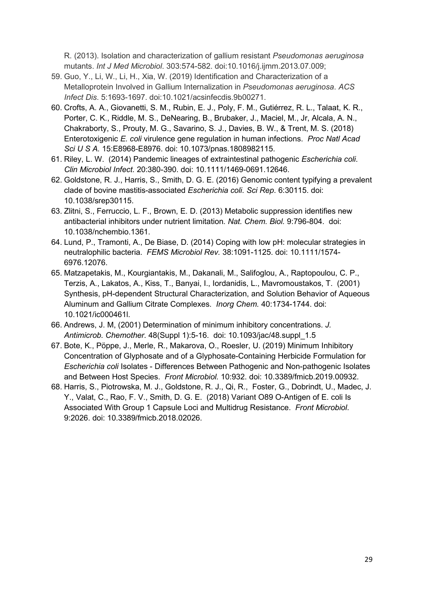R. (2013). Isolation and characterization of gallium resistant *Pseudomonas aeruginosa* mutants. *Int J Med Microbiol*. 303:574-582. doi:10.1016/j.ijmm.2013.07.009;

- 59. Guo, Y., Li, W., Li, H., Xia, W. (2019) Identification and Characterization of a Metalloprotein Involved in Gallium Internalization in *Pseudomonas aeruginosa*. *ACS Infect Dis*. 5:1693-1697. doi:10.1021/acsinfecdis.9b00271.
- 60. Crofts, A. A., Giovanetti, S. M., Rubin, E. J., Poly, F. M., Gutiérrez, R. L., Talaat, K. R., Porter, C. K., Riddle, M. S., DeNearing, B., Brubaker, J., Maciel, M., Jr, Alcala, A. N., Chakraborty, S., Prouty, M. G., Savarino, S. J., Davies, B. W., & Trent, M. S. (2018) Enterotoxigenic *E. coli* virulence gene regulation in human infections. *Proc Natl Acad Sci U S A.* 15:E8968-E8976. doi: 10.1073/pnas.1808982115.
- 61. Riley, L. W. (2014) Pandemic lineages of extraintestinal pathogenic *Escherichia coli*. *Clin Microbiol Infect*. 20:380-390. doi: 10.1111/1469-0691.12646.
- 62. Goldstone, R. J., Harris, S., Smith, D. G. E. (2016) Genomic content typifying a prevalent clade of bovine mastitis-associated *Escherichia coli*. *Sci Rep*. 6:30115. doi: 10.1038/srep30115.
- 63. Zlitni, S., Ferruccio, L. F., Brown, E. D. (2013) Metabolic suppression identifies new antibacterial inhibitors under nutrient limitation. *Nat. Chem. Biol.* 9:796-804. doi: 10.1038/nchembio.1361.
- 64. Lund, P., Tramonti, A., De Biase, D. (2014) Coping with low pH: molecular strategies in neutralophilic bacteria. *FEMS Microbiol Rev.* 38:1091-1125. doi: 10.1111/1574- 6976.12076.
- 65. Matzapetakis, M., Kourgiantakis, M., Dakanali, M., Salifoglou, A., Raptopoulou, C. P., Terzis, A., Lakatos, A., Kiss, T., Banyai, I., Iordanidis, L., Mavromoustakos, T. (2001) Synthesis, pH-dependent Structural Characterization, and Solution Behavior of Aqueous Aluminum and Gallium Citrate Complexes. *Inorg Chem.* 40:1734-1744. doi: 10.1021/ic000461l.
- 66. Andrews, J. M, (2001) Determination of minimum inhibitory concentrations. *J. Antimicrob. Chemother.* 48(Suppl 1):5-16. doi: 10.1093/jac/48.suppl\_1.5
- 67. Bote, K., Pöppe, J., Merle, R., Makarova, O., Roesler, U. (2019) Minimum Inhibitory Concentration of Glyphosate and of a Glyphosate-Containing Herbicide Formulation for *Escherichia coli* Isolates - Differences Between Pathogenic and Non-pathogenic Isolates and Between Host Species. *Front Microbiol.* 10:932. doi: 10.3389/fmicb.2019.00932.
- 68. Harris, S., Piotrowska, M. J., Goldstone, R. J., Qi, R., Foster, G., Dobrindt, U., Madec, J. Y., Valat, C., Rao, F. V., Smith, D. G. E. (2018) Variant O89 O-Antigen of E. coli Is Associated With Group 1 Capsule Loci and Multidrug Resistance. *Front Microbiol*. 9:2026. doi: 10.3389/fmicb.2018.02026.